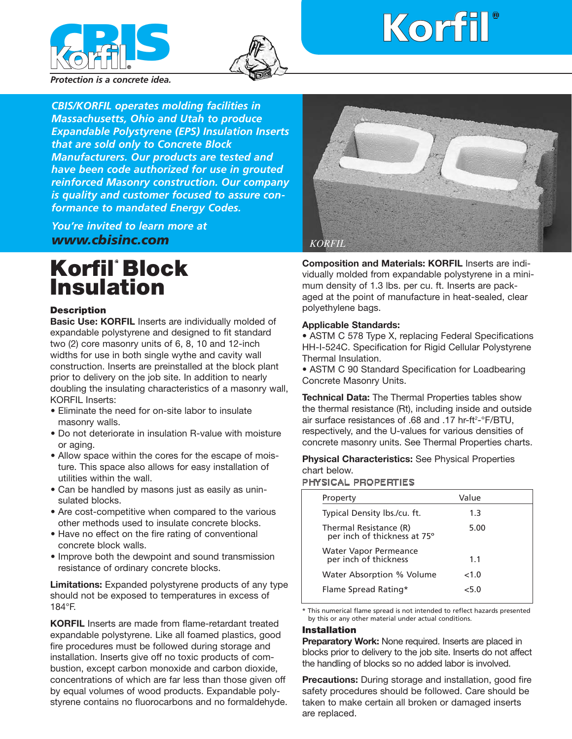



# ¨ **Korfil**

*Protection is a concrete idea.*

*CBIS/KORFIL operates molding facilities in Massachusetts, Ohio and Utah to produce Expandable Polystyrene (EPS) Insulation Inserts that are sold only to Concrete Block Manufacturers. Our products are tested and have been code authorized for use in grouted reinforced Masonry construction. Our company is quality and customer focused to assure conformance to mandated Energy Codes.*

*You're invited to learn more at www.cbisinc.com*

# **Korfil Block Insulation**

#### **Description**

**Basic Use: KORFIL** Inserts are individually molded of expandable polystyrene and designed to fit standard two (2) core masonry units of 6, 8, 10 and 12-inch widths for use in both single wythe and cavity wall construction. Inserts are preinstalled at the block plant prior to delivery on the job site. In addition to nearly doubling the insulating characteristics of a masonry wall, KORFIL Inserts:

- Eliminate the need for on-site labor to insulate masonry walls.
- Do not deteriorate in insulation R-value with moisture or aging.
- Allow space within the cores for the escape of moisture. This space also allows for easy installation of utilities within the wall.
- Can be handled by masons just as easily as uninsulated blocks.
- Are cost-competitive when compared to the various other methods used to insulate concrete blocks.
- Have no effect on the fire rating of conventional concrete block walls.
- Improve both the dewpoint and sound transmission resistance of ordinary concrete blocks.

**Limitations:** Expanded polystyrene products of any type should not be exposed to temperatures in excess of 184°F.

**KORFIL** Inserts are made from flame-retardant treated expandable polystyrene. Like all foamed plastics, good fire procedures must be followed during storage and installation. Inserts give off no toxic products of combustion, except carbon monoxide and carbon dioxide, concentrations of which are far less than those given off by equal volumes of wood products. Expandable polystyrene contains no fluorocarbons and no formaldehyde.



**Composition and Materials: KORFIL** Inserts are individually molded from expandable polystyrene in a minimum density of 1.3 lbs. per cu. ft. Inserts are packaged at the point of manufacture in heat-sealed, clear polyethylene bags.

#### **Applicable Standards:**

• ASTM C 578 Type X, replacing Federal Specifications HH-I-524C. Specification for Rigid Cellular Polystyrene Thermal Insulation.

• ASTM C 90 Standard Specification for Loadbearing Concrete Masonry Units.

**Technical Data:** The Thermal Properties tables show the thermal resistance (Rt), including inside and outside air surface resistances of .68 and .17 hr-ft<sup>2</sup>-°F/BTU, respectively, and the U-values for various densities of concrete masonry units. See Thermal Properties charts.

**Physical Characteristics:** See Physical Properties chart below.

#### PHYSICAL PROPERTIES

| Property                                               | Value |  |
|--------------------------------------------------------|-------|--|
| Typical Density lbs./cu. ft.                           | 1.3   |  |
| Thermal Resistance (R)<br>per inch of thickness at 75° | 5.00  |  |
| <b>Water Vapor Permeance</b><br>per inch of thickness  | 1.1   |  |
| Water Absorption % Volume                              | <1.0  |  |
| Flame Spread Rating*                                   | ∠5 N  |  |

\* This numerical flame spread is not intended to reflect hazards presented by this or any other material under actual conditions.

#### **Installation**

**Preparatory Work:** None required. Inserts are placed in blocks prior to delivery to the job site. Inserts do not affect the handling of blocks so no added labor is involved.

**Precautions:** During storage and installation, good fire safety procedures should be followed. Care should be taken to make certain all broken or damaged inserts are replaced.